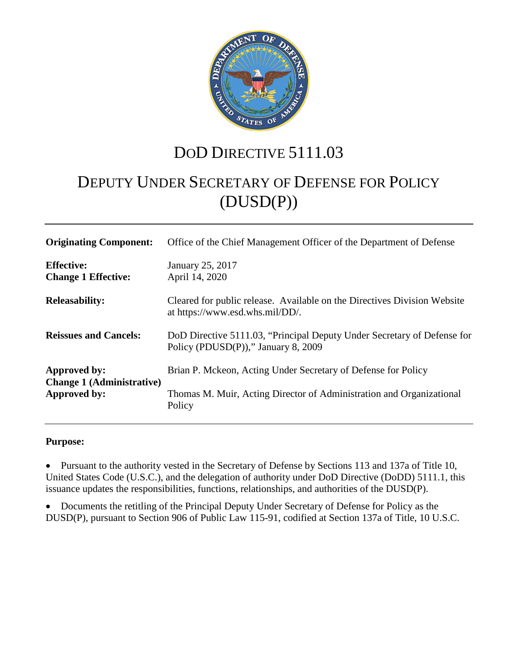

## DOD DIRECTIVE 5111.03

# DEPUTY UNDER SECRETARY OF DEFENSE FOR POLICY (DUSD(P))

| Office of the Chief Management Officer of the Department of Defense                                                                             |
|-------------------------------------------------------------------------------------------------------------------------------------------------|
| January 25, 2017<br>April 14, 2020                                                                                                              |
| Cleared for public release. Available on the Directives Division Website<br>at https://www.esd.whs.mil/DD/.                                     |
| DoD Directive 5111.03, "Principal Deputy Under Secretary of Defense for<br>Policy (PDUSD(P))," January 8, 2009                                  |
| Brian P. Mckeon, Acting Under Secretary of Defense for Policy<br>Thomas M. Muir, Acting Director of Administration and Organizational<br>Policy |
|                                                                                                                                                 |

#### **Purpose:**

• Pursuant to the authority vested in the Secretary of Defense by Sections 113 and 137a of Title 10, United States Code (U.S.C.), and the delegation of authority under DoD Directive (DoDD) 5111.1, this issuance updates the responsibilities, functions, relationships, and authorities of the DUSD(P).

• Documents the retitling of the Principal Deputy Under Secretary of Defense for Policy as the DUSD(P), pursuant to Section 906 of Public Law 115-91, codified at Section 137a of Title, 10 U.S.C.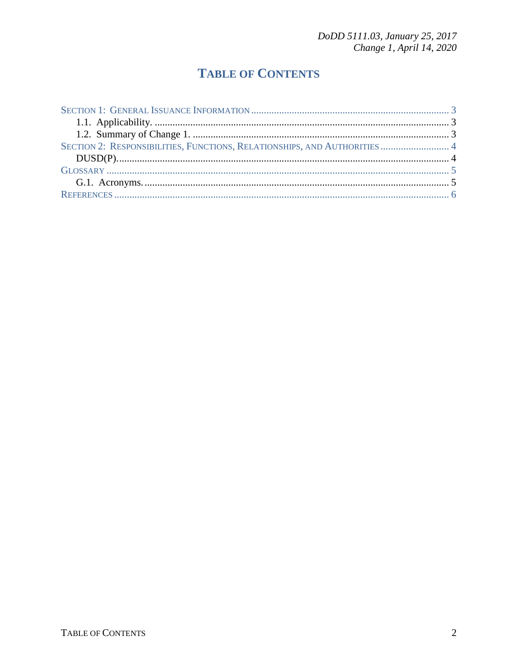## **TABLE OF CONTENTS**

| SECTION 2: RESPONSIBILITIES, FUNCTIONS, RELATIONSHIPS, AND AUTHORITIES  4 |  |
|---------------------------------------------------------------------------|--|
|                                                                           |  |
|                                                                           |  |
|                                                                           |  |
|                                                                           |  |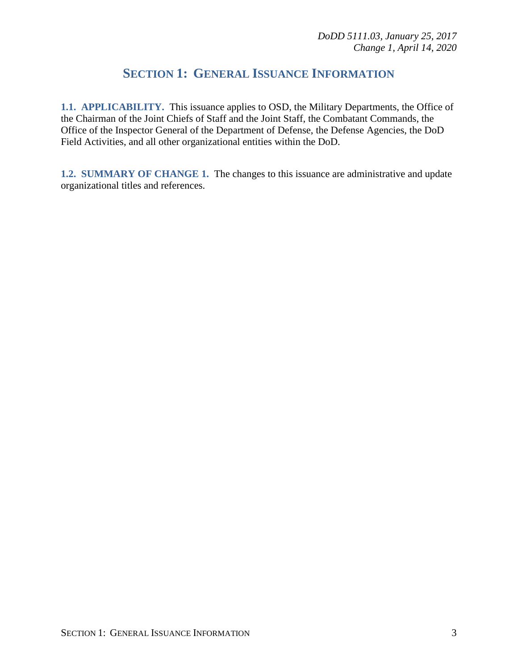### **SECTION 1: GENERAL ISSUANCE INFORMATION**

**1.1. APPLICABILITY.** This issuance applies to OSD, the Military Departments, the Office of the Chairman of the Joint Chiefs of Staff and the Joint Staff, the Combatant Commands, the Office of the Inspector General of the Department of Defense, the Defense Agencies, the DoD Field Activities, and all other organizational entities within the DoD.

**1.2. SUMMARY OF CHANGE 1.** The changes to this issuance are administrative and update organizational titles and references.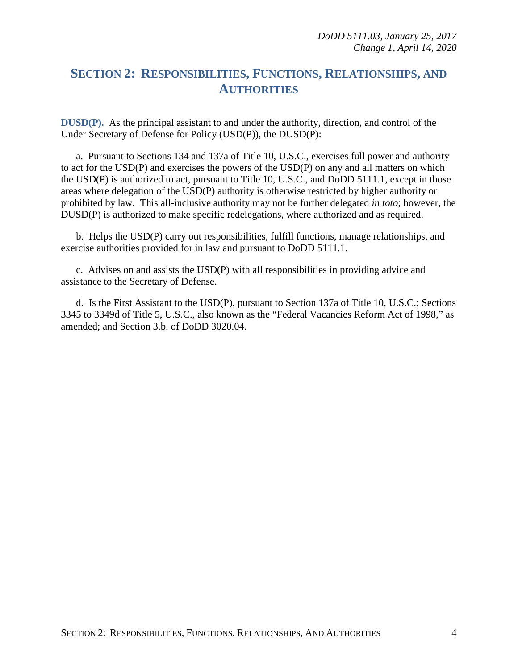### **SECTION 2: RESPONSIBILITIES, FUNCTIONS, RELATIONSHIPS, AND AUTHORITIES**

**DUSD(P).** As the principal assistant to and under the authority, direction, and control of the Under Secretary of Defense for Policy (USD(P)), the DUSD(P):

a. Pursuant to Sections 134 and 137a of Title 10, U.S.C., exercises full power and authority to act for the USD(P) and exercises the powers of the USD(P) on any and all matters on which the USD(P) is authorized to act, pursuant to Title 10, U.S.C., and DoDD 5111.1, except in those areas where delegation of the USD(P) authority is otherwise restricted by higher authority or prohibited by law. This all-inclusive authority may not be further delegated *in toto*; however, the DUSD(P) is authorized to make specific redelegations, where authorized and as required.

b. Helps the USD(P) carry out responsibilities, fulfill functions, manage relationships, and exercise authorities provided for in law and pursuant to DoDD 5111.1.

c. Advises on and assists the USD(P) with all responsibilities in providing advice and assistance to the Secretary of Defense.

d. Is the First Assistant to the USD(P), pursuant to Section 137a of Title 10, U.S.C.; Sections 3345 to 3349d of Title 5, U.S.C., also known as the "Federal Vacancies Reform Act of 1998," as amended; and Section 3.b. of DoDD 3020.04.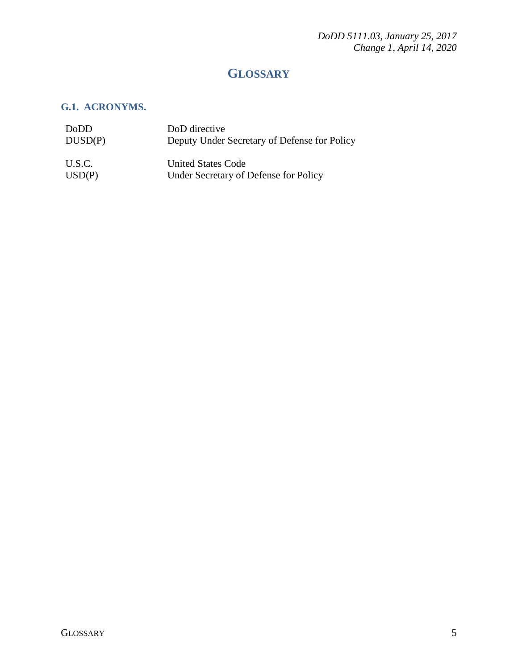*DoDD 5111.03, January 25, 2017 Change 1, April 14, 2020* 

### **GLOSSARY**

#### **G.1. ACRONYMS.**

| DoDD    | DoD directive                                |
|---------|----------------------------------------------|
| DUSD(P) | Deputy Under Secretary of Defense for Policy |
| U.S.C.  | <b>United States Code</b>                    |
| USD(P)  | Under Secretary of Defense for Policy        |